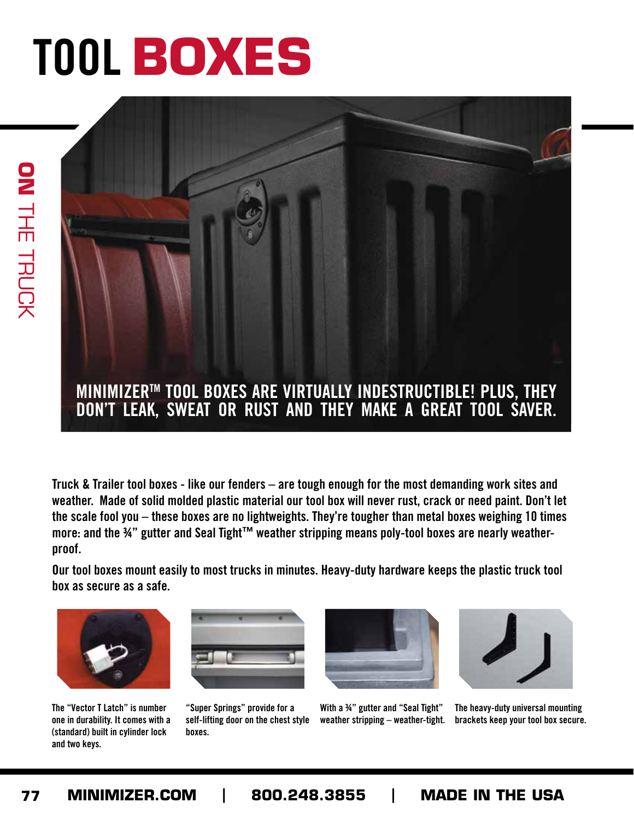## **TOOL BOXES TOOL BOXES**



**Truck & Trailer tool boxes - like our fenders – are tough enough for the most demanding work sites and weather. Made of solid molded plastic material our tool box will never rust, crack or need paint. Don't let the scale fool you – these boxes are no lightweights. They're tougher than metal boxes weighing 10 times more: and the ¾" gutter and Seal Tight™ weather stripping means poly-tool boxes are nearly weatherproof.**

**Our tool boxes mount easily to most trucks in minutes. Heavy-duty hardware keeps the plastic truck tool box as secure as a safe.**



**The "Vector T Latch" is number one in durability. It comes with a (standard) built in cylinder lock and two keys.**



**"Super Springs" provide for a self-lifting door on the chest style boxes.**



**With a ¾" gutter and "Seal Tight" weather stripping – weather-tight.** 



**The heavy-duty universal mounting brackets keep your tool box secure.**